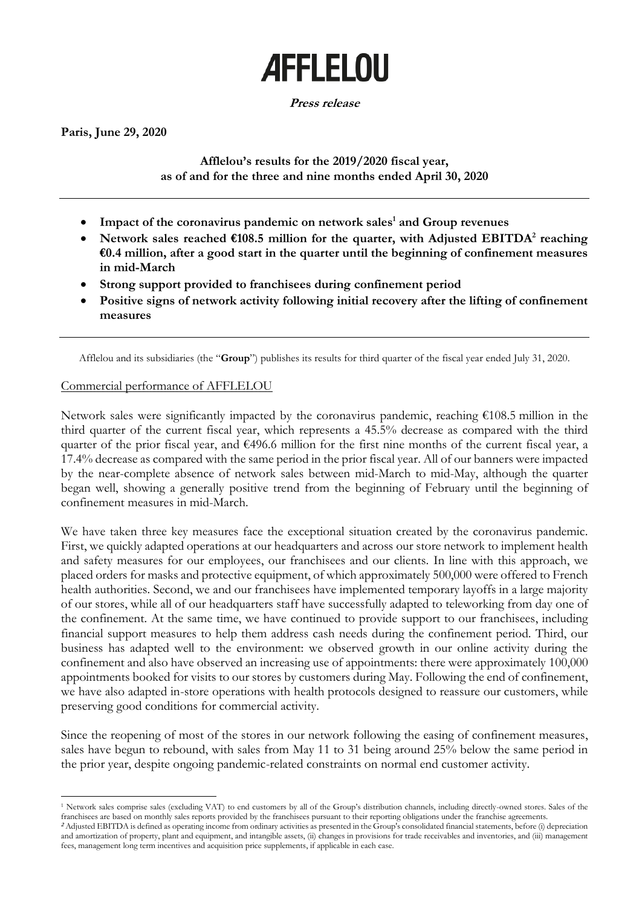# **AFFLELOU**

## **Press release**

**Paris, June 29, 2020**

**Afflelou's results for the 2019/2020 fiscal year, as of and for the three and nine months ended April 30, 2020**

- **Impact of the coronavirus pandemic on network sales<sup>1</sup> and Group revenues**
- **Network sales reached €108.5 million for the quarter, with Adjusted EBITDA<sup>2</sup> reaching €0.4 million, after a good start in the quarter until the beginning of confinement measures in mid-March**
- **Strong support provided to franchisees during confinement period**
- **Positive signs of network activity following initial recovery after the lifting of confinement measures**

Afflelou and its subsidiaries (the "**Group**") publishes its results for third quarter of the fiscal year ended July 31, 2020.

# Commercial performance of AFFLELOU

Network sales were significantly impacted by the coronavirus pandemic, reaching €108.5 million in the third quarter of the current fiscal year, which represents a 45.5% decrease as compared with the third quarter of the prior fiscal year, and €496.6 million for the first nine months of the current fiscal year, a 17.4% decrease as compared with the same period in the prior fiscal year. All of our banners were impacted by the near-complete absence of network sales between mid-March to mid-May, although the quarter began well, showing a generally positive trend from the beginning of February until the beginning of confinement measures in mid-March.

We have taken three key measures face the exceptional situation created by the coronavirus pandemic. First, we quickly adapted operations at our headquarters and across our store network to implement health and safety measures for our employees, our franchisees and our clients. In line with this approach, we placed orders for masks and protective equipment, of which approximately 500,000 were offered to French health authorities. Second, we and our franchisees have implemented temporary layoffs in a large majority of our stores, while all of our headquarters staff have successfully adapted to teleworking from day one of the confinement. At the same time, we have continued to provide support to our franchisees, including financial support measures to help them address cash needs during the confinement period. Third, our business has adapted well to the environment: we observed growth in our online activity during the confinement and also have observed an increasing use of appointments: there were approximately 100,000 appointments booked for visits to our stores by customers during May. Following the end of confinement, we have also adapted in-store operations with health protocols designed to reassure our customers, while preserving good conditions for commercial activity.

Since the reopening of most of the stores in our network following the easing of confinement measures, sales have begun to rebound, with sales from May 11 to 31 being around 25% below the same period in the prior year, despite ongoing pandemic-related constraints on normal end customer activity.

<sup>1</sup> Network sales comprise sales (excluding VAT) to end customers by all of the Group's distribution channels, including directly-owned stores. Sales of the franchisees are based on monthly sales reports provided by the franchisees pursuant to their reporting obligations under the franchise agreements.

**<sup>2</sup>** Adjusted EBITDA is defined as operating income from ordinary activities as presented in the Group's consolidated financial statements, before (i) depreciation and amortization of property, plant and equipment, and intangible assets, (ii) changes in provisions for trade receivables and inventories, and (iii) management fees, management long term incentives and acquisition price supplements, if applicable in each case.